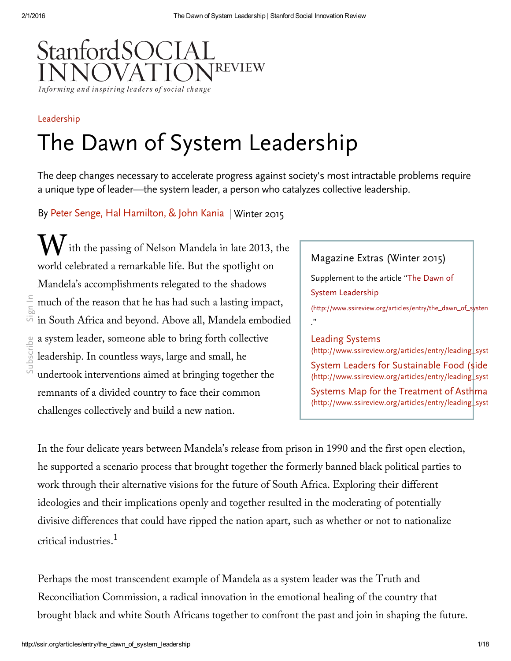

# [Leadership](http://ssir.org/articles/category/leadership) The Dawn of System Leadership

The deep changes necessary to accelerate progress against society's most intractable problems require a unique type of leader—the system leader, a person who catalyzes collective leadership.

By Peter Senge, Hal [Hamilton,](#page-16-0) & John Kania | [Winter](http://ssir.org/issue/winter_2015) 2015

 $\mathbf{W}$  it ith the passing of Nelson Mandela in late 2013, the world celebrated a remarkable life. But the spotlight on Mandela's accomplishments relegated to the shadows much of the reason that he has had such a lasting impact, in South Africa and beyond. Above all, Mandela embodied a system leader, someone able to bring forth collective leadership. In countless ways, large and small, he undertook interventions aimed at bringing together the remnants of a divided country to face their common challenges collectively and build a new nation. [Subscribe](http://ssir.org/site/subscribe_popup) [Sign](http://ssir.org/site/login_popup) In

# Magazine Extras (Winter 2015)

Supplement to the article "The Dawn of System Leadership

(http://www.ssireview.org/articles/entry/the\_dawn\_of\_systen ."

## Leading Systems

 $(http://www.ssireview.org/articles/entry/leading_syst)$  $(http://www.ssireview.org/articles/entry/leading_syst)$ 

System Leaders for Sustainable Food (side [\(http://www.ssireview.org/articles/entry/leading\\_syst](http://www.ssireview.org/articles/entry/leading_systems#systemleaders) Systems Map for the Treatment of Asthma  $(\text{http://www.ssireview.org/articles/entry/leading\_syst}$ 

In the four delicate years between Mandela's release from prison in 1990 and the first open election, he supported a scenario process that brought together the formerly banned black political parties to work through their alternative visions for the future of South Africa. Exploring their different ideologies and their implications openly and together resulted in the moderating of potentially divisive differences that could have ripped the nation apart, such as whether or not to nationalize critical industries. 1

Perhaps the most transcendent example of Mandela as a system leader was the Truth and Reconciliation Commission, a radical innovation in the emotional healing of the country that brought black and white South Africans together to confront the past and join in shaping the future.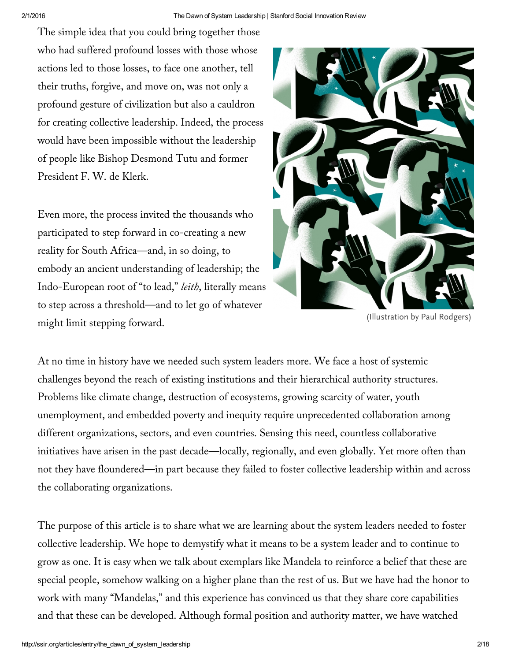The simple idea that you could bring together those who had suffered profound losses with those whose actions led to those losses, to face one another, tell their truths, forgive, and move on, was not only a profound gesture of civilization but also a cauldron for creating collective leadership. Indeed, the process would have been impossible without the leadership of people like Bishop Desmond Tutu and former President F. W. de Klerk.

Even more, the process invited the thousands who participated to step forward in co-creating a new reality for South Africa—and, in so doing, to embody an ancient understanding of leadership; the Indo-European root of "to lead," *leith*, literally means to step across a threshold—and to let go of whatever might limit stepping forward.



(Illustration by Paul Rodgers)

At no time in history have we needed such system leaders more. We face a host of systemic challenges beyond the reach of existing institutions and their hierarchical authority structures. Problems like climate change, destruction of ecosystems, growing scarcity of water, youth unemployment, and embedded poverty and inequity require unprecedented collaboration among different organizations, sectors, and even countries. Sensing this need, countless collaborative initiatives have arisen in the past decade—locally, regionally, and even globally. Yet more often than not they have floundered—in part because they failed to foster collective leadership within and across the collaborating organizations.

The purpose of this article is to share what we are learning about the system leaders needed to foster collective leadership. We hope to demystify what it means to be a system leader and to continue to grow as one. It is easy when we talk about exemplars like Mandela to reinforce a belief that these are special people, somehow walking on a higher plane than the rest of us. But we have had the honor to work with many "Mandelas," and this experience has convinced us that they share core capabilities and that these can be developed. Although formal position and authority matter, we have watched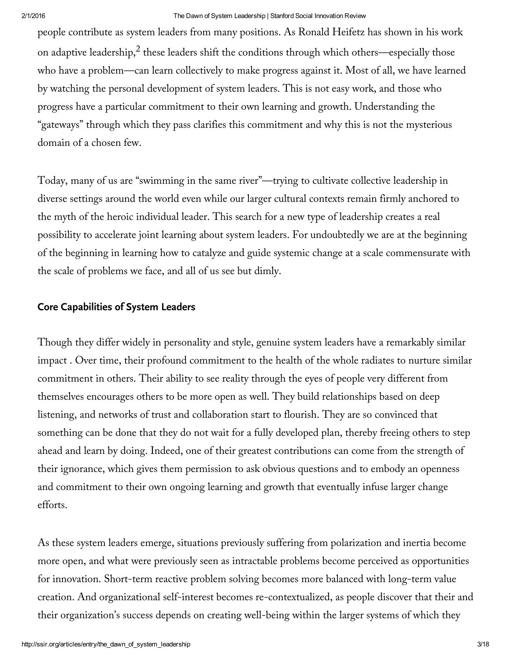people contribute as system leaders from many positions. As Ronald Heifetz has shown in his work on adaptive leadership, $^2$  these leaders shift the conditions through which others—especially those who have a problem—can learn collectively to make progress against it. Most of all, we have learned by watching the personal development of system leaders. This is not easy work, and those who progress have a particular commitment to their own learning and growth. Understanding the "gateways" through which they pass clarifies this commitment and why this is not the mysterious domain of a chosen few.

Today, many of us are "swimming in the same river"—trying to cultivate collective leadership in diverse settings around the world even while our larger cultural contexts remain firmly anchored to the myth of the heroic individual leader. This search for a new type of leadership creates a real possibility to accelerate joint learning about system leaders. For undoubtedly we are at the beginning of the beginning in learning how to catalyze and guide systemic change at a scale commensurate with the scale of problems we face, and all of us see but dimly.

# **Core Capabilities of System Leaders**

Though they differ widely in personality and style, genuine system leaders have a remarkably similar impact . Over time, their profound commitment to the health of the whole radiates to nurture similar commitment in others. Their ability to see reality through the eyes of people very different from themselves encourages others to be more open as well. They build relationships based on deep listening, and networks of trust and collaboration start to flourish. They are so convinced that something can be done that they do not wait for a fully developed plan, thereby freeing others to step ahead and learn by doing. Indeed, one of their greatest contributions can come from the strength of their ignorance, which gives them permission to ask obvious questions and to embody an openness and commitment to their own ongoing learning and growth that eventually infuse larger change efforts.

As these system leaders emerge, situations previously suffering from polarization and inertia become more open, and what were previously seen as intractable problems become perceived as opportunities for innovation. Short-term reactive problem solving becomes more balanced with long-term value creation. And organizational self-interest becomes re-contextualized, as people discover that their and their organization's success depends on creating well-being within the larger systems of which they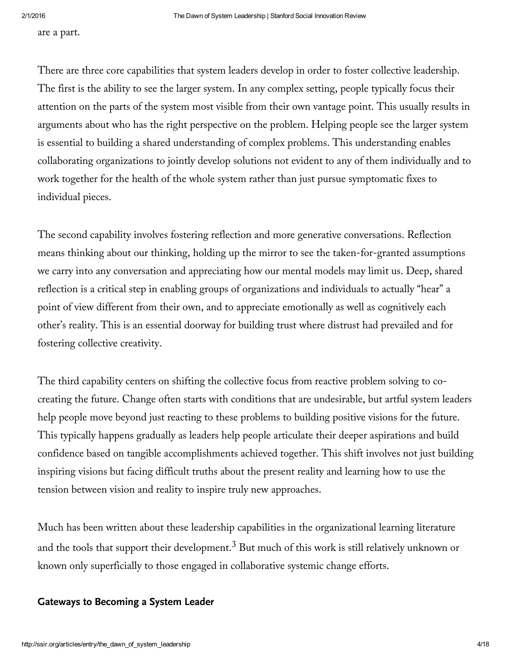are a part.

There are three core capabilities that system leaders develop in order to foster collective leadership. The first is the ability to see the larger system. In any complex setting, people typically focus their attention on the parts of the system most visible from their own vantage point. This usually results in arguments about who has the right perspective on the problem. Helping people see the larger system is essential to building a shared understanding of complex problems. This understanding enables collaborating organizations to jointly develop solutions not evident to any of them individually and to work together for the health of the whole system rather than just pursue symptomatic fixes to individual pieces.

The second capability involves fostering reflection and more generative conversations. Reflection means thinking about our thinking, holding up the mirror to see the taken-for-granted assumptions we carry into any conversation and appreciating how our mental models may limit us. Deep, shared reflection is a critical step in enabling groups of organizations and individuals to actually "hear" a point of view different from their own, and to appreciate emotionally as well as cognitively each other's reality. This is an essential doorway for building trust where distrust had prevailed and for fostering collective creativity.

The third capability centers on shifting the collective focus from reactive problem solving to cocreating the future. Change often starts with conditions that are undesirable, but artful system leaders help people move beyond just reacting to these problems to building positive visions for the future. This typically happens gradually as leaders help people articulate their deeper aspirations and build confidence based on tangible accomplishments achieved together. This shift involves not just building inspiring visions but facing difficult truths about the present reality and learning how to use the tension between vision and reality to inspire truly new approaches.

Much has been written about these leadership capabilities in the organizational learning literature and the tools that support their development. $^3$  But much of this work is still relatively unknown or known only superficially to those engaged in collaborative systemic change efforts.

## **Gateways to Becoming a System Leader**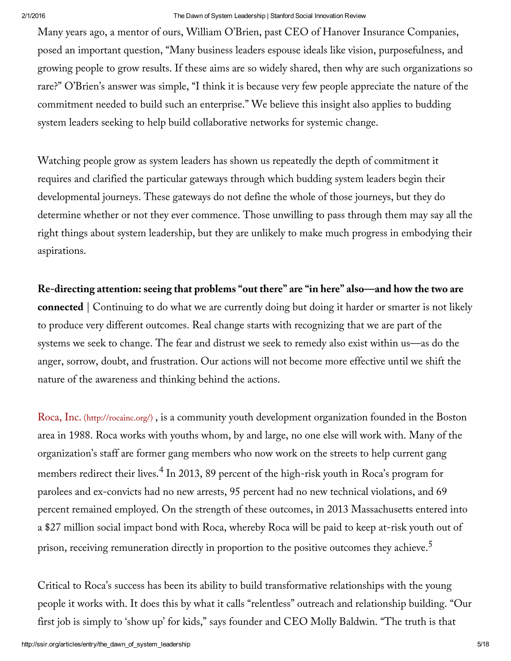Many years ago, a mentor of ours, William O'Brien, past CEO of Hanover Insurance Companies, posed an important question, "Many business leaders espouse ideals like vision, purposefulness, and growing people to grow results. If these aims are so widely shared, then why are such organizations so rare?" O'Brien's answer was simple, "I think it is because very few people appreciate the nature of the commitment needed to build such an enterprise." We believe this insight also applies to budding system leaders seeking to help build collaborative networks for systemic change.

Watching people grow as system leaders has shown us repeatedly the depth of commitment it requires and clarified the particular gateways through which budding system leaders begin their developmental journeys. These gateways do not define the whole of those journeys, but they do determine whether or not they ever commence. Those unwilling to pass through them may say all the right things about system leadership, but they are unlikely to make much progress in embodying their aspirations.

**Re-directing attention: seeing that problems "out there" are "in here" also—and how the two are connected** | Continuing to do what we are currently doing but doing it harder or smarter is not likely to produce very different outcomes. Real change starts with recognizing that we are part of the systems we seek to change. The fear and distrust we seek to remedy also exist within us—as do the anger, sorrow, doubt, and frustration. Our actions will not become more effective until we shift the nature of the awareness and thinking behind the actions.

Roca, Inc. [\(http://rocainc.org/\)](http://rocainc.org/) , is a community youth development organization founded in the Boston area in 1988. Roca works with youths whom, by and large, no one else will work with. Many of the organization's staff are former gang members who now work on the streets to help current gang members redirect their lives. $^4$  In 2013, 89 percent of the high-risk youth in Roca's program for parolees and ex-convicts had no new arrests, 95 percent had no new technical violations, and 69 percent remained employed. On the strength of these outcomes, in 2013 Massachusetts entered into a \$27 million social impact bond with Roca, whereby Roca will be paid to keep at-risk youth out of prison, receiving remuneration directly in proportion to the positive outcomes they achieve. $^5$ 

Critical to Roca's success has been its ability to build transformative relationships with the young people it works with. It does this by what it calls "relentless" outreach and relationship building. "Our first job is simply to 'show up' for kids," says founder and CEO Molly Baldwin. "The truth is that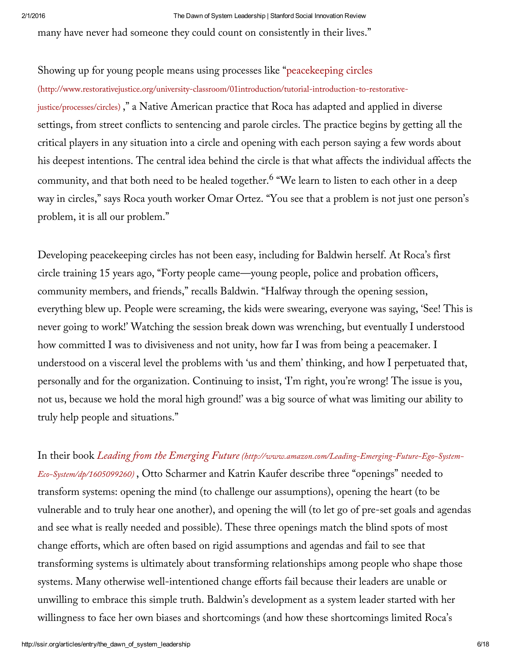many have never had someone they could count on consistently in their lives."

Showing up for young people means using processes like "peacekeeping circles [\(http://www.restorativejustice.org/university-classroom/01introduction/tutorial-introduction-to-restorative](http://www.restorativejustice.org/university-classroom/01introduction/tutorial-introduction-to-restorative-justice/processes/circles)justice/processes/circles) ," a Native American practice that Roca has adapted and applied in diverse settings, from street conflicts to sentencing and parole circles. The practice begins by getting all the critical players in any situation into a circle and opening with each person saying a few words about his deepest intentions. The central idea behind the circle is that what affects the individual affects the community, and that both need to be healed together.<sup>6</sup> "We learn to listen to each other in a deep way in circles," says Roca youth worker Omar Ortez. "You see that a problem is not just one person's problem, it is all our problem."

Developing peacekeeping circles has not been easy, including for Baldwin herself. At Roca's first circle training 15 years ago, "Forty people came—young people, police and probation officers, community members, and friends," recalls Baldwin. "Halfway through the opening session, everything blew up. People were screaming, the kids were swearing, everyone was saying, 'See! This is never going to work!' Watching the session break down was wrenching, but eventually I understood how committed I was to divisiveness and not unity, how far I was from being a peacemaker. I understood on a visceral level the problems with 'us and them' thinking, and how I perpetuated that, personally and for the organization. Continuing to insist, 'I'm right, you're wrong! The issue is you, not us, because we hold the moral high ground!' was a big source of what was limiting our ability to truly help people and situations."

In their book *Leading from the Emerging Future [\(http://www.amazon.com/Leading-Emerging-Future-Ego-System-](http://www.amazon.com/Leading-Emerging-Future-Ego-System-Eco-System/dp/1605099260)Eco-System/dp/1605099260)* , Otto Scharmer and Katrin Kaufer describe three "openings" needed to transform systems: opening the mind (to challenge our assumptions), opening the heart (to be vulnerable and to truly hear one another), and opening the will (to let go of pre-set goals and agendas and see what is really needed and possible). These three openings match the blind spots of most change efforts, which are often based on rigid assumptions and agendas and fail to see that transforming systems is ultimately about transforming relationships among people who shape those systems. Many otherwise well-intentioned change efforts fail because their leaders are unable or unwilling to embrace this simple truth. Baldwin's development as a system leader started with her willingness to face her own biases and shortcomings (and how these shortcomings limited Roca's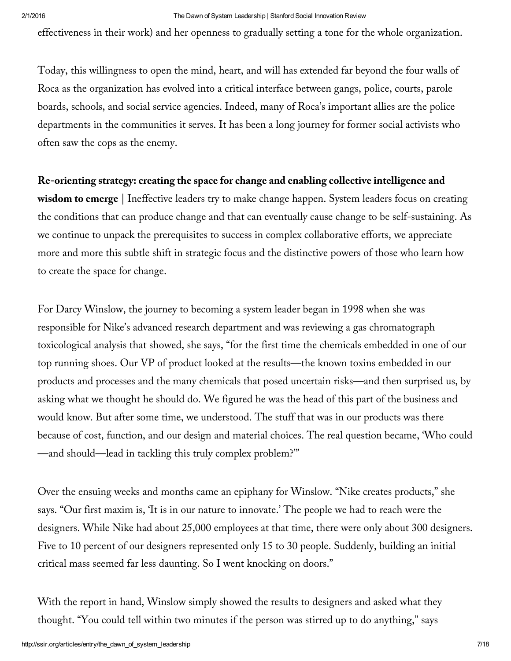effectiveness in their work) and her openness to gradually setting a tone for the whole organization.

Today, this willingness to open the mind, heart, and will has extended far beyond the four walls of Roca as the organization has evolved into a critical interface between gangs, police, courts, parole boards, schools, and social service agencies. Indeed, many of Roca's important allies are the police departments in the communities it serves. It has been a long journey for former social activists who often saw the cops as the enemy.

## **Re-orienting strategy: creating the space for change and enabling collective intelligence and**

**wisdom to emerge** | Ineffective leaders try to make change happen. System leaders focus on creating the conditions that can produce change and that can eventually cause change to be self-sustaining. As we continue to unpack the prerequisites to success in complex collaborative efforts, we appreciate more and more this subtle shift in strategic focus and the distinctive powers of those who learn how to create the space for change.

For Darcy Winslow, the journey to becoming a system leader began in 1998 when she was responsible for Nike's advanced research department and was reviewing a gas chromatograph toxicological analysis that showed, she says, "for the first time the chemicals embedded in one of our top running shoes. Our VP of product looked at the results—the known toxins embedded in our products and processes and the many chemicals that posed uncertain risks—and then surprised us, by asking what we thought he should do. We figured he was the head of this part of the business and would know. But after some time, we understood. The stuff that was in our products was there because of cost, function, and our design and material choices. The real question became, 'Who could —and should—lead in tackling this truly complex problem?'"

Over the ensuing weeks and months came an epiphany for Winslow. "Nike creates products," she says. "Our first maxim is, 'It is in our nature to innovate.' The people we had to reach were the designers. While Nike had about 25,000 employees at that time, there were only about 300 designers. Five to 10 percent of our designers represented only 15 to 30 people. Suddenly, building an initial critical mass seemed far less daunting. So I went knocking on doors."

With the report in hand, Winslow simply showed the results to designers and asked what they thought. "You could tell within two minutes if the person was stirred up to do anything," says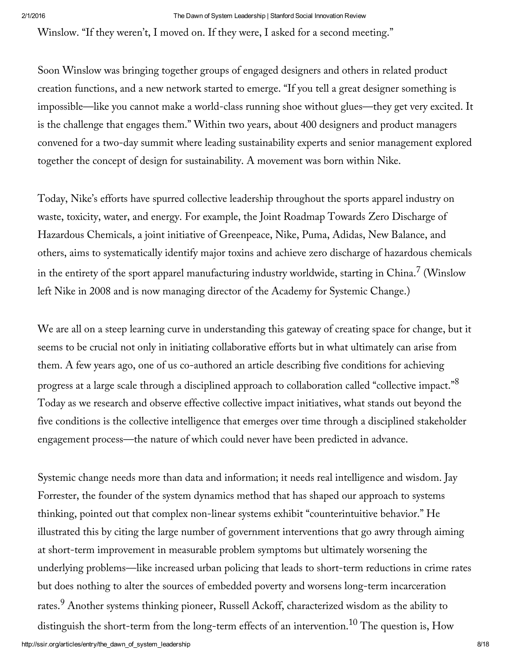Winslow. "If they weren't, I moved on. If they were, I asked for a second meeting."

Soon Winslow was bringing together groups of engaged designers and others in related product creation functions, and a new network started to emerge. "If you tell a great designer something is impossible—like you cannot make a world-class running shoe without glues—they get very excited. It is the challenge that engages them." Within two years, about 400 designers and product managers convened for a two-day summit where leading sustainability experts and senior management explored together the concept of design for sustainability. A movement was born within Nike.

Today, Nike's efforts have spurred collective leadership throughout the sports apparel industry on waste, toxicity, water, and energy. For example, the Joint Roadmap Towards Zero Discharge of Hazardous Chemicals, a joint initiative of Greenpeace, Nike, Puma, Adidas, New Balance, and others, aims to systematically identify major toxins and achieve zero discharge of hazardous chemicals in the entirety of the sport apparel manufacturing industry worldwide, starting in China. $^7$  (Winslow left Nike in 2008 and is now managing director of the Academy for Systemic Change.)

We are all on a steep learning curve in understanding this gateway of creating space for change, but it seems to be crucial not only in initiating collaborative efforts but in what ultimately can arise from them. A few years ago, one of us co-authored an article describing five conditions for achieving progress at a large scale through a disciplined approach to collaboration called "collective impact." $^{8}$ Today as we research and observe effective collective impact initiatives, what stands out beyond the five conditions is the collective intelligence that emerges over time through a disciplined stakeholder engagement process—the nature of which could never have been predicted in advance.

Systemic change needs more than data and information; it needs real intelligence and wisdom. Jay Forrester, the founder of the system dynamics method that has shaped our approach to systems thinking, pointed out that complex non-linear systems exhibit "counterintuitive behavior." He illustrated this by citing the large number of government interventions that go awry through aiming at short-term improvement in measurable problem symptoms but ultimately worsening the underlying problems—like increased urban policing that leads to short-term reductions in crime rates but does nothing to alter the sources of embedded poverty and worsens long-term incarceration rates.<sup>9</sup> Another systems thinking pioneer, Russell Ackoff, characterized wisdom as the ability to distinguish the short-term from the long-term effects of an intervention. $^{10}\rm$  The question is, How

http://ssir.org/articles/entry/the\_dawn\_of\_system\_leadership 8/18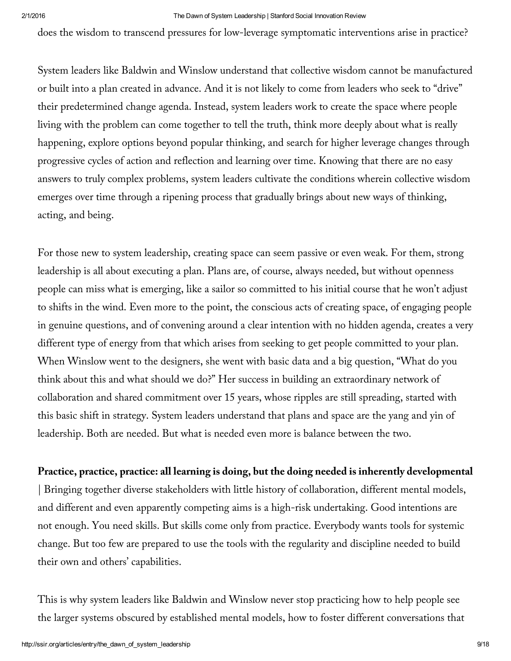does the wisdom to transcend pressures for low-leverage symptomatic interventions arise in practice?

System leaders like Baldwin and Winslow understand that collective wisdom cannot be manufactured or built into a plan created in advance. And it is not likely to come from leaders who seek to "drive" their predetermined change agenda. Instead, system leaders work to create the space where people living with the problem can come together to tell the truth, think more deeply about what is really happening, explore options beyond popular thinking, and search for higher leverage changes through progressive cycles of action and reflection and learning over time. Knowing that there are no easy answers to truly complex problems, system leaders cultivate the conditions wherein collective wisdom emerges over time through a ripening process that gradually brings about new ways of thinking, acting, and being.

For those new to system leadership, creating space can seem passive or even weak. For them, strong leadership is all about executing a plan. Plans are, of course, always needed, but without openness people can miss what is emerging, like a sailor so committed to his initial course that he won't adjust to shifts in the wind. Even more to the point, the conscious acts of creating space, of engaging people in genuine questions, and of convening around a clear intention with no hidden agenda, creates a very different type of energy from that which arises from seeking to get people committed to your plan. When Winslow went to the designers, she went with basic data and a big question, "What do you think about this and what should we do?" Her success in building an extraordinary network of collaboration and shared commitment over 15 years, whose ripples are still spreading, started with this basic shift in strategy. System leaders understand that plans and space are the yang and yin of leadership. Both are needed. But what is needed even more is balance between the two.

## **Practice, practice, practice: all learning is doing, but the doing needed is inherently developmental**

| Bringing together diverse stakeholders with little history of collaboration, different mental models, and different and even apparently competing aims is a high-risk undertaking. Good intentions are not enough. You need skills. But skills come only from practice. Everybody wants tools for systemic change. But too few are prepared to use the tools with the regularity and discipline needed to build their own and others' capabilities.

This is why system leaders like Baldwin and Winslow never stop practicing how to help people see the larger systems obscured by established mental models, how to foster different conversations that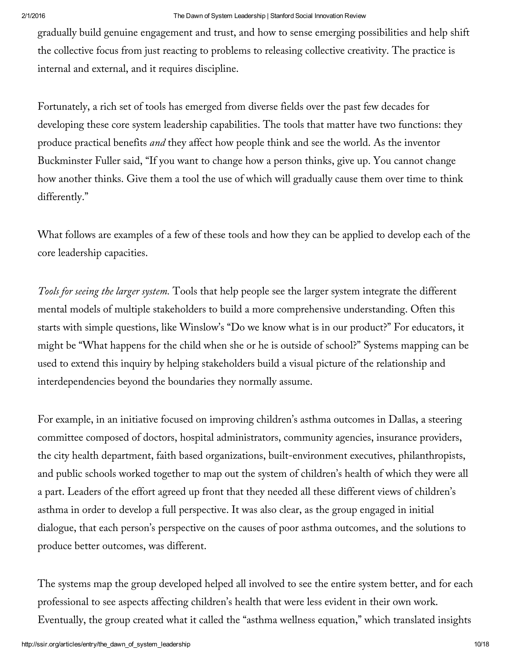gradually build genuine engagement and trust, and how to sense emerging possibilities and help shift the collective focus from just reacting to problems to releasing collective creativity. The practice is internal and external, and it requires discipline.

Fortunately, a rich set of tools has emerged from diverse fields over the past few decades for developing these core system leadership capabilities. The tools that matter have two functions: they produce practical benefits *and* they affect how people think and see the world. As the inventor Buckminster Fuller said, "If you want to change how a person thinks, give up. You cannot change how another thinks. Give them a tool the use of which will gradually cause them over time to think differently."

What follows are examples of a few of these tools and how they can be applied to develop each of the core leadership capacities.

*Tools for seeing the larger system.* Tools that help people see the larger system integrate the different mental models of multiple stakeholders to build a more comprehensive understanding. Often this starts with simple questions, like Winslow's "Do we know what is in our product?" For educators, it might be "What happens for the child when she or he is outside of school?" Systems mapping can be used to extend this inquiry by helping stakeholders build a visual picture of the relationship and interdependencies beyond the boundaries they normally assume.

For example, in an initiative focused on improving children's asthma outcomes in Dallas, a steering committee composed of doctors, hospital administrators, community agencies, insurance providers, the city health department, faith based organizations, built-environment executives, philanthropists, and public schools worked together to map out the system of children's health of which they were all a part. Leaders of the effort agreed up front that they needed all these different views of children's asthma in order to develop a full perspective. It was also clear, as the group engaged in initial dialogue, that each person's perspective on the causes of poor asthma outcomes, and the solutions to produce better outcomes, was different.

The systems map the group developed helped all involved to see the entire system better, and for each professional to see aspects affecting children's health that were less evident in their own work. Eventually, the group created what it called the "asthma wellness equation," which translated insights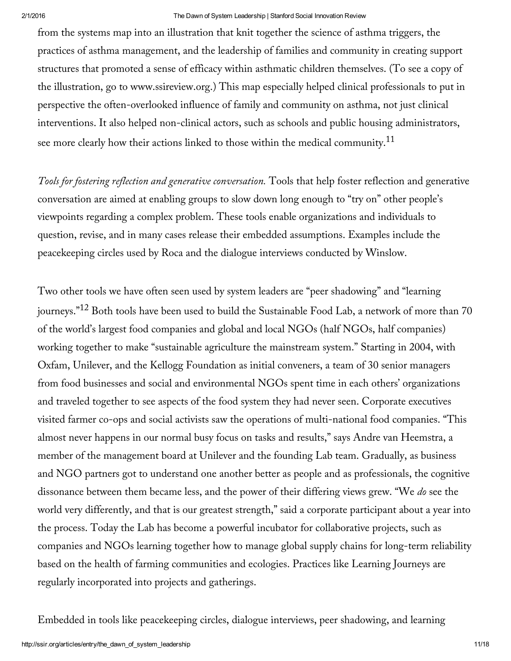from the systems map into an illustration that knit together the science of asthma triggers, the practices of asthma management, and the leadership of families and community in creating support structures that promoted a sense of efficacy within asthmatic children themselves. (To see a copy of the illustration, go to www.ssireview.org.) This map especially helped clinical professionals to put in perspective the often-overlooked influence of family and community on asthma, not just clinical interventions. It also helped non-clinical actors, such as schools and public housing administrators, see more clearly how their actions linked to those within the medical community. $^{11}$ 

*Tools for fostering reflection and generative conversation.* Tools that help foster reflection and generative conversation are aimed at enabling groups to slow down long enough to "try on" other people's viewpoints regarding a complex problem. These tools enable organizations and individuals to question, revise, and in many cases release their embedded assumptions. Examples include the peacekeeping circles used by Roca and the dialogue interviews conducted by Winslow.

Two other tools we have often seen used by system leaders are "peer shadowing" and "learning journeys."<sup>12</sup> Both tools have been used to build the Sustainable Food Lab, a network of more than 70 of the world's largest food companies and global and local NGOs (half NGOs, half companies) working together to make "sustainable agriculture the mainstream system." Starting in 2004, with Oxfam, Unilever, and the Kellogg Foundation as initial conveners, a team of 30 senior managers from food businesses and social and environmental NGOs spent time in each others' organizations and traveled together to see aspects of the food system they had never seen. Corporate executives visited farmer co-ops and social activists saw the operations of multi-national food companies. "This almost never happens in our normal busy focus on tasks and results," says Andre van Heemstra, a member of the management board at Unilever and the founding Lab team. Gradually, as business and NGO partners got to understand one another better as people and as professionals, the cognitive dissonance between them became less, and the power of their differing views grew. "We *do* see the world very differently, and that is our greatest strength," said a corporate participant about a year into the process. Today the Lab has become a powerful incubator for collaborative projects, such as companies and NGOs learning together how to manage global supply chains for long-term reliability based on the health of farming communities and ecologies. Practices like Learning Journeys are regularly incorporated into projects and gatherings.

Embedded in tools like peacekeeping circles, dialogue interviews, peer shadowing, and learning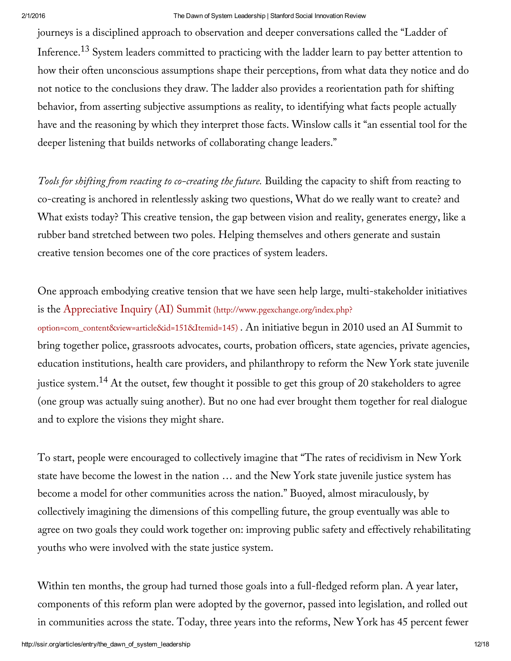journeys is a disciplined approach to observation and deeper conversations called the "Ladder of Inference.<sup>13</sup> System leaders committed to practicing with the ladder learn to pay better attention to how their often unconscious assumptions shape their perceptions, from what data they notice and do not notice to the conclusions they draw. The ladder also provides a reorientation path for shifting behavior, from asserting subjective assumptions as reality, to identifying what facts people actually have and the reasoning by which they interpret those facts. Winslow calls it "an essential tool for the deeper listening that builds networks of collaborating change leaders."

*Tools for shifting from reacting to co-creating the future.* Building the capacity to shift from reacting to co-creating is anchored in relentlessly asking two questions, What do we really want to create? and What exists today? This creative tension, the gap between vision and reality, generates energy, like a rubber band stretched between two poles. Helping themselves and others generate and sustain creative tension becomes one of the core practices of system leaders.

One approach embodying creative tension that we have seen help large, multi-stakeholder initiatives is the Appreciative Inquiry (AI) Summit (http://www.pgexchange.org/index.php? [option=com\\_content&view=article&id=151&Itemid=145\)](http://www.pgexchange.org/index.php?option=com_content&view=article&id=151&Itemid=145) . An initiative begun in 2010 used an AI Summit to bring together police, grassroots advocates, courts, probation officers, state agencies, private agencies, education institutions, health care providers, and philanthropy to reform the New York state juvenile justice system. $^{14}$  At the outset, few thought it possible to get this group of 20 stakeholders to agree (one group was actually suing another). But no one had ever brought them together for real dialogue and to explore the visions they might share.

To start, people were encouraged to collectively imagine that "The rates of recidivism in New York state have become the lowest in the nation … and the New York state juvenile justice system has become a model for other communities across the nation." Buoyed, almost miraculously, by collectively imagining the dimensions of this compelling future, the group eventually was able to agree on two goals they could work together on: improving public safety and effectively rehabilitating youths who were involved with the state justice system.

Within ten months, the group had turned those goals into a full-fledged reform plan. A year later, components of this reform plan were adopted by the governor, passed into legislation, and rolled out in communities across the state. Today, three years into the reforms, New York has 45 percent fewer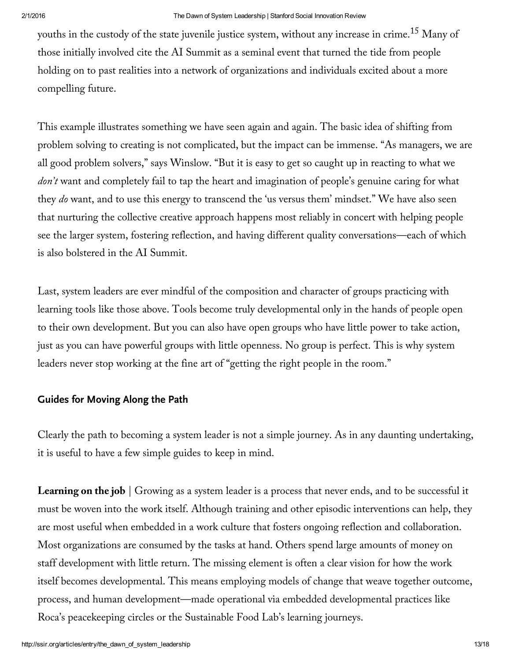youths in the custody of the state juvenile justice system, without any increase in crime. $^{15}$  Many of those initially involved cite the AI Summit as a seminal event that turned the tide from people holding on to past realities into a network of organizations and individuals excited about a more compelling future.

This example illustrates something we have seen again and again. The basic idea of shifting from problem solving to creating is not complicated, but the impact can be immense. "As managers, we are all good problem solvers," says Winslow. "But it is easy to get so caught up in reacting to what we *don't* want and completely fail to tap the heart and imagination of people's genuine caring for what they *do* want, and to use this energy to transcend the 'us versus them' mindset." We have also seen that nurturing the collective creative approach happens most reliably in concert with helping people see the larger system, fostering reflection, and having different quality conversations—each of which is also bolstered in the AI Summit.

Last, system leaders are ever mindful of the composition and character of groups practicing with learning tools like those above. Tools become truly developmental only in the hands of people open to their own development. But you can also have open groups who have little power to take action, just as you can have powerful groups with little openness. No group is perfect. This is why system leaders never stop working at the fine art of "getting the right people in the room."

## **Guides for Moving Along the Path**

Clearly the path to becoming a system leader is not a simple journey. As in any daunting undertaking, it is useful to have a few simple guides to keep in mind.

**Learning on the job** | Growing as a system leader is a process that never ends, and to be successful it must be woven into the work itself. Although training and other episodic interventions can help, they are most useful when embedded in a work culture that fosters ongoing reflection and collaboration. Most organizations are consumed by the tasks at hand. Others spend large amounts of money on staff development with little return. The missing element is often a clear vision for how the work itself becomes developmental. This means employing models of change that weave together outcome, process, and human development—made operational via embedded developmental practices like Roca's peacekeeping circles or the Sustainable Food Lab's learning journeys.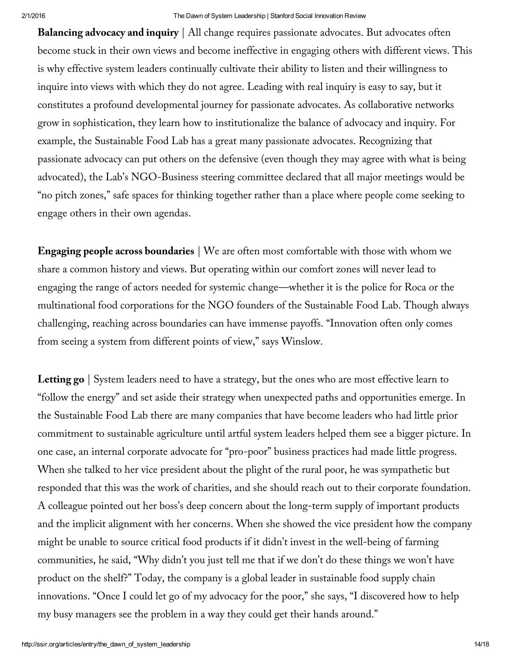**Balancing advocacy and inquiry** | All change requires passionate advocates. But advocates often become stuck in their own views and become ineffective in engaging others with different views. This is why effective system leaders continually cultivate their ability to listen and their willingness to inquire into views with which they do not agree. Leading with real inquiry is easy to say, but it constitutes a profound developmental journey for passionate advocates. As collaborative networks grow in sophistication, they learn how to institutionalize the balance of advocacy and inquiry. For example, the Sustainable Food Lab has a great many passionate advocates. Recognizing that passionate advocacy can put others on the defensive (even though they may agree with what is being advocated), the Lab's NGO-Business steering committee declared that all major meetings would be "no pitch zones," safe spaces for thinking together rather than a place where people come seeking to engage others in their own agendas.

**Engaging people across boundaries** | We are often most comfortable with those with whom we share a common history and views. But operating within our comfort zones will never lead to engaging the range of actors needed for systemic change—whether it is the police for Roca or the multinational food corporations for the NGO founders of the Sustainable Food Lab. Though always challenging, reaching across boundaries can have immense payoffs. "Innovation often only comes from seeing a system from different points of view," says Winslow.

**Letting go** | System leaders need to have a strategy, but the ones who are most effective learn to "follow the energy" and set aside their strategy when unexpected paths and opportunities emerge. In the Sustainable Food Lab there are many companies that have become leaders who had little prior commitment to sustainable agriculture until artful system leaders helped them see a bigger picture. In one case, an internal corporate advocate for "pro-poor" business practices had made little progress. When she talked to her vice president about the plight of the rural poor, he was sympathetic but responded that this was the work of charities, and she should reach out to their corporate foundation. A colleague pointed out her boss's deep concern about the long-term supply of important products and the implicit alignment with her concerns. When she showed the vice president how the company might be unable to source critical food products if it didn't invest in the well-being of farming communities, he said, "Why didn't you just tell me that if we don't do these things we won't have product on the shelf?" Today, the company is a global leader in sustainable food supply chain innovations. "Once I could let go of my advocacy for the poor," she says, "I discovered how to help my busy managers see the problem in a way they could get their hands around."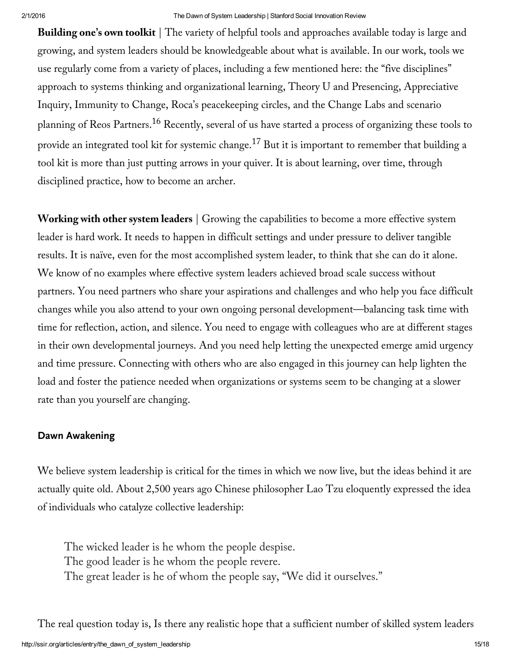**Building one's own toolkit** | The variety of helpful tools and approaches available today is large and growing, and system leaders should be knowledgeable about what is available. In our work, tools we use regularly come from a variety of places, including a few mentioned here: the "five disciplines" approach to systems thinking and organizational learning, Theory U and Presencing, Appreciative Inquiry, Immunity to Change, Roca's peacekeeping circles, and the Change Labs and scenario planning of Reos Partners.<sup>16</sup> Recently, several of us have started a process of organizing these tools to provide an integrated tool kit for systemic change. $^{17}$  But it is important to remember that building a tool kit is more than just putting arrows in your quiver. It is about learning, over time, through disciplined practice, how to become an archer.

**Working with other system leaders** | Growing the capabilities to become a more effective system leader is hard work. It needs to happen in difficult settings and under pressure to deliver tangible results. It is naïve, even for the most accomplished system leader, to think that she can do it alone. We know of no examples where effective system leaders achieved broad scale success without partners. You need partners who share your aspirations and challenges and who help you face difficult changes while you also attend to your own ongoing personal development—balancing task time with time for reflection, action, and silence. You need to engage with colleagues who are at different stages in their own developmental journeys. And you need help letting the unexpected emerge amid urgency and time pressure. Connecting with others who are also engaged in this journey can help lighten the load and foster the patience needed when organizations or systems seem to be changing at a slower rate than you yourself are changing.

## **Dawn Awakening**

We believe system leadership is critical for the times in which we now live, but the ideas behind it are actually quite old. About 2,500 years ago Chinese philosopher Lao Tzu eloquently expressed the idea of individuals who catalyze collective leadership:

The wicked leader is he whom the people despise. The good leader is he whom the people revere. The great leader is he of whom the people say, "We did it ourselves."

The real question today is, Is there any realistic hope that a sufficient number of skilled system leaders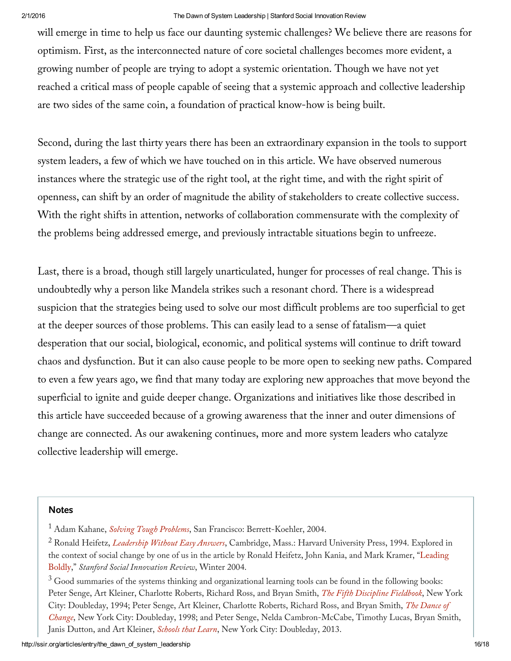will emerge in time to help us face our daunting systemic challenges? We believe there are reasons for optimism. First, as the interconnected nature of core societal challenges becomes more evident, a growing number of people are trying to adopt a systemic orientation. Though we have not yet reached a critical mass of people capable of seeing that a systemic approach and collective leadership are two sides of the same coin, a foundation of practical know-how is being built.

Second, during the last thirty years there has been an extraordinary expansion in the tools to support system leaders, a few of which we have touched on in this article. We have observed numerous instances where the strategic use of the right tool, at the right time, and with the right spirit of openness, can shift by an order of magnitude the ability of stakeholders to create collective success. With the right shifts in attention, networks of collaboration commensurate with the complexity of the problems being addressed emerge, and previously intractable situations begin to unfreeze.

Last, there is a broad, though still largely unarticulated, hunger for processes of real change. This is undoubtedly why a person like Mandela strikes such a resonant chord. There is a widespread suspicion that the strategies being used to solve our most difficult problems are too superficial to get at the deeper sources of those problems. This can easily lead to a sense of fatalism—a quiet desperation that our social, biological, economic, and political systems will continue to drift toward chaos and dysfunction. But it can also cause people to be more open to seeking new paths. Compared to even a few years ago, we find that many today are exploring new approaches that move beyond the superficial to ignite and guide deeper change. Organizations and initiatives like those described in this article have succeeded because of a growing awareness that the inner and outer dimensions of change are connected. As our awakening continues, more and more system leaders who catalyze collective leadership will emerge.

### **Notes**

<sup>1</sup> Adam Kahane, *Solving Tough [Problems](http://www.amazon.com/Solving-Tough-Problems-Listening-Realities/dp/1576754642)*, San Francisco: Berrett-Koehler, 2004.

<sup>2</sup> Ronald Heifetz, *[Leadership](http://www.amazon.com/Leadership-Without-Answers-Ronald-Heifetz/dp/0674518586) Without Easy Answers*, Cambridge, Mass.: Harvard University Press, 1994. Explored in the context of social change by one of us in the article by Ronald Heifetz, John Kania, and Mark Kramer, "Leading Boldly," *Stanford Social [Innovation](http://www.ssireview.org/articles/entry/leading_boldly) Review*, Winter 2004.

<sup>&</sup>lt;sup>3</sup> Good summaries of the systems thinking and organizational learning tools can be found in the following books: Peter Senge, Art Kleiner, Charlotte Roberts, Richard Ross, and Bryan Smith, *The Fifth [Discipline](http://www.amazon.com/The-Fifth-Discipline-Fieldbook-Organization/dp/0385472560) Fieldbook*, New York City: Doubleday, 1994; Peter Senge, Art Kleiner, Charlotte Roberts, Richard Ross, and Bryan Smith, *The Dance of Change*, New York City: Doubleday, 1998; and Peter Senge, Nelda [Cambron-McCabe,](http://www.amazon.com/The-Dance-Change-challenges-organization/dp/0385493223) Timothy Lucas, Bryan Smith, Janis Dutton, and Art Kleiner, *[Schools](http://www.amazon.com/Schools-That-Learn-Updated-Revised/dp/0385518226) that Learn*, New York City: Doubleday, 2013.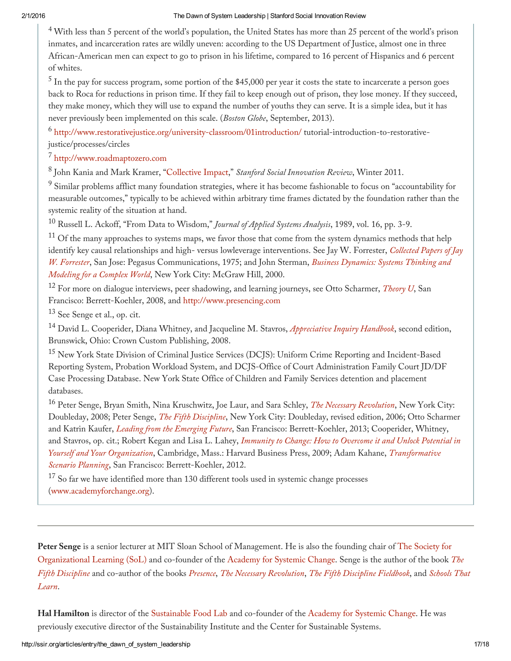$4$  With less than 5 percent of the world's population, the United States has more than 25 percent of the world's prison inmates, and incarceration rates are wildly uneven: according to the US Department of Justice, almost one in three African-American men can expect to go to prison in his lifetime, compared to 16 percent of Hispanics and 6 percent of whites.

 $^5$  In the pay for success program, some portion of the \$45,000 per year it costs the state to incarcerate a person goes back to Roca for reductions in prison time. If they fail to keep enough out of prison, they lose money. If they succeed, they make money, which they will use to expand the number of youths they can serve. It is a simple idea, but it has never previously been implemented on this scale. (*Boston Globe*, September, 2013).

<sup>6</sup> <http://www.restorativejustice.org/university-classroom/01introduction/> tutorial-introduction-to-restorativejustice/processes/circles

<sup>7</sup> [http://www.roadmaptozero.com](http://www.roadmaptozero.com/)

8 John Kania and Mark Kramer, "[Collective](http://www.ssireview.org/articles/entry/collective_impact) Impact," *Stanford Social Innovation Review*, Winter 2011.

<sup>9</sup> Similar problems afflict many foundation strategies, where it has become fashionable to focus on "accountability for measurable outcomes," typically to be achieved within arbitrary time frames dictated by the foundation rather than the systemic reality of the situation at hand.

<sup>10</sup> Russell L. Ackoff, "From Data to Wisdom," *Journal of Applied Systems Analysis*, 1989, vol. 16, pp. 3-9.

 $11$  Of the many approaches to systems maps, we favor those that come from the system dynamics methods that help identify key causal relationships and high- versus lowleverage interventions. See Jay W. Forrester, *Collected Papers of Jay W. Forrester*, San Jose: Pegasus [Communications,](http://www.amazon.com/Business-Dynamics-Systems-Thinking-Modeling/dp/007238915X) 1975; and John Sterman, *Business Dynamics: Systems Thinking and Modeling for a Complex World*, New York City: McGraw Hill, 2000.

<sup>12</sup> For more on dialogue interviews, peer shadowing, and learning journeys, see Otto Scharmer, *[Theory](http://www.amazon.com/Theory-Leading-Future-It-Emerges/dp/1576757633) U*, San Francisco: Berrett-Koehler, 2008, and [http://www.presencing.com](http://www.presencing.com/)

<sup>13</sup> See Senge et al., op. cit.

<sup>14</sup> David L. Cooperider, Diana Whitney, and Jacqueline M. Stavros, *[Appreciative](http://www.amazon.com/Appreciative-Inquiry-Handbook-Leaders-Edition/dp/1933403195) Inquiry Handbook*, second edition, Brunswick, Ohio: Crown Custom Publishing, 2008.

<sup>15</sup> New York State Division of Criminal Justice Services (DCJS): Uniform Crime Reporting and Incident-Based Reporting System, Probation Workload System, and DCJS-Office of Court Administration Family Court JD/DF Case Processing Database. New York State Office of Children and Family Services detention and placement databases.

<sup>16</sup> Peter Senge, Bryan Smith, Nina Kruschwitz, Joe Laur, and Sara Schley, *The Necessary [Revolution](http://www.amazon.com/The-Necessary-Revolution-Individuals-Organizations/dp/0385519044)*, New York City: Doubleday, 2008; Peter Senge, *The Fifth [Discipline](http://www.amazon.com/The-Fifth-Discipline-Practice-Organization/dp/0553456342)*, New York City: Doubleday, revised edition, 2006; Otto Scharmer and Katrin Kaufer, *Leading from the [Emerging](http://www.amazon.com/Leading-Emerging-Future-Ego-System-Eco-System/dp/1605099260) Future*, San Francisco: Berrett-Koehler, 2013; Cooperider, Whitney, and Stavros, op. cit.; Robert Kegan and Lisa L. Lahey, *Immunity to Change: How to Overcome it and Unlock Potential in Yourself and Your Organization*, Cambridge, Mass.: Harvard Business Press, 2009; Adam Kahane, *[Transformative](http://www.amazon.com/Transformative-Scenario-Planning-Working-Together/dp/1609944909) Scenario Planning*, San Francisco: Berrett-Koehler, 2012.

<sup>17</sup> So far we have identified more than 130 different tools used in systemic change processes [\(www.academyforchange.org\)](http://www.academyforchange.org/).

<span id="page-16-0"></span>**Peter Senge** is a senior lecturer at MIT Sloan School of [Management.](http://www.solonline.org/) He is also the founding chair of The Society for [Organizational](http://www.amazon.com/The-Fifth-Discipline-Practice-Organization/dp/0553456342) Learning (SoL) and co-founder of the [Academy](http://ssir.org/articles/entry/www.academyforchange.org) for Systemic Change. Senge is the author of the book *The Fifth Discipline* and co-author of the books *[Presence](http://www.amazon.com/Presence-Human-Purpose-Field-Future/dp/0385516304)*, *The Necessary [Revolution](http://www.amazon.com/Schools-That-Learn-Updated-Revised/dp/0385518226)*, *The Fifth [Discipline](http://www.amazon.com/The-Fifth-Discipline-Fieldbook-Organization/dp/0385472560) Fieldbook*, and *Schools That Learn*.

**Hal Hamilton** is director of the [Sustainable](http://www.sustainablefoodlab.org/) Food Lab and co-founder of the [Academy](http://www.academyforchange.org/) for Systemic Change. He was previously executive director of the Sustainability Institute and the Center for Sustainable Systems.